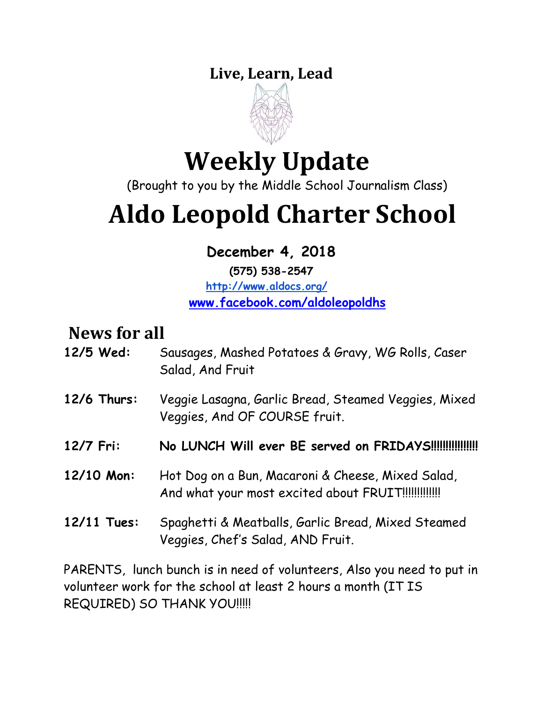### **Live, Learn, Lead**



# **Weekly Update**

(Brought to you by the Middle School Journalism Class)

# **Aldo Leopold Charter School**

 **December 4, 2018**

**(575) 538-2547 <http://www.aldocs.org/> [www.facebook.com/aldoleopoldhs](http://www.facebook.com/aldoleopoldhs/)**

# **News for all**

- **12/5 Wed:** Sausages, Mashed Potatoes & Gravy, WG Rolls, Caser Salad, And Fruit
- **12/6 Thurs:** Veggie Lasagna, Garlic Bread, Steamed Veggies, Mixed Veggies, And OF COURSE fruit.
- **12/7 Fri: No LUNCH Will ever BE served on FRIDAYS!!!!!!!!!!!!!!!!**
- **12/10 Mon:** Hot Dog on a Bun, Macaroni & Cheese, Mixed Salad, And what your most excited about FRUIT!!!!!!!!!!!!!!
- **12/11 Tues:** Spaghetti & Meatballs, Garlic Bread, Mixed Steamed Veggies, Chef's Salad, AND Fruit.

PARENTS, lunch bunch is in need of volunteers, Also you need to put in volunteer work for the school at least 2 hours a month (IT IS REQUIRED) SO THANK YOU!!!!!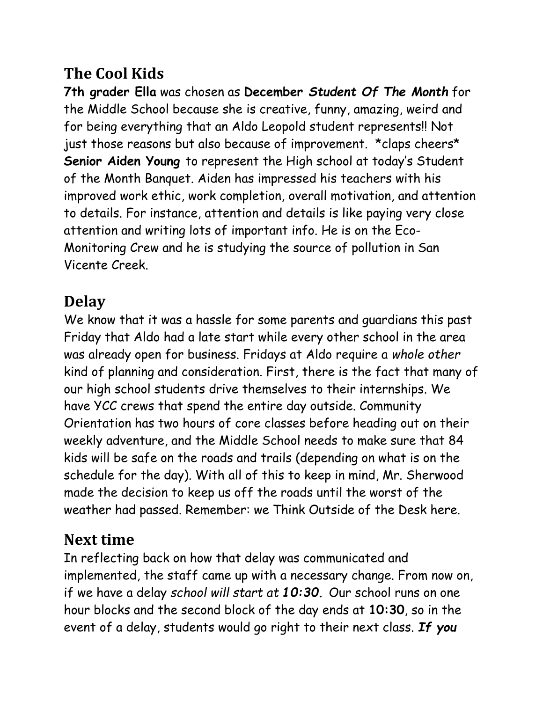### **The Cool Kids**

**7th grader Ella** was chosen as **December** *Student Of The Month* for the Middle School because she is creative, funny, amazing, weird and for being everything that an Aldo Leopold student represents!! Not just those reasons but also because of improvement. \*claps cheers\* **Senior Aiden Young** to represent the High school at today's Student of the Month Banquet. Aiden has impressed his teachers with his improved work ethic, work completion, overall motivation, and attention to details. For instance, attention and details is like paying very close attention and writing lots of important info. He is on the Eco-Monitoring Crew and he is studying the source of pollution in San Vicente Creek.

### **Delay**

We know that it was a hassle for some parents and guardians this past Friday that Aldo had a late start while every other school in the area was already open for business. Fridays at Aldo require a *whole other*  kind of planning and consideration. First, there is the fact that many of our high school students drive themselves to their internships. We have YCC crews that spend the entire day outside. Community Orientation has two hours of core classes before heading out on their weekly adventure, and the Middle School needs to make sure that 84 kids will be safe on the roads and trails (depending on what is on the schedule for the day). With all of this to keep in mind, Mr. Sherwood made the decision to keep us off the roads until the worst of the weather had passed. Remember: we Think Outside of the Desk here.

### **Next time**

In reflecting back on how that delay was communicated and implemented, the staff came up with a necessary change. From now on, if we have a delay *school will start at 10:30.* Our school runs on one hour blocks and the second block of the day ends at **10:30**, so in the event of a delay, students would go right to their next class. *If you*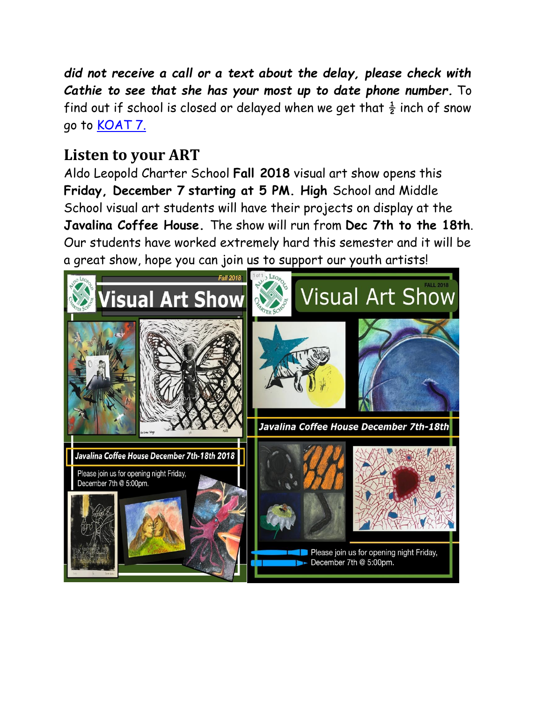*did not receive a call or a text about the delay, please check with Cathie to see that she has your most up to date phone number.* To find out if school is closed or delayed when we get that  $\frac{1}{2}$  inch of snow go to **KOAT 7.** 

### **Listen to your ART**

Aldo Leopold Charter School **Fall 2018** visual art show opens this **Friday, December 7 starting at 5 PM. High** School and Middle School visual art students will have their projects on display at the **Javalina Coffee House.** The show will run from **Dec 7th to the 18th**. Our students have worked extremely hard this semester and it will be a great show, hope you can join us to support our youth artists!

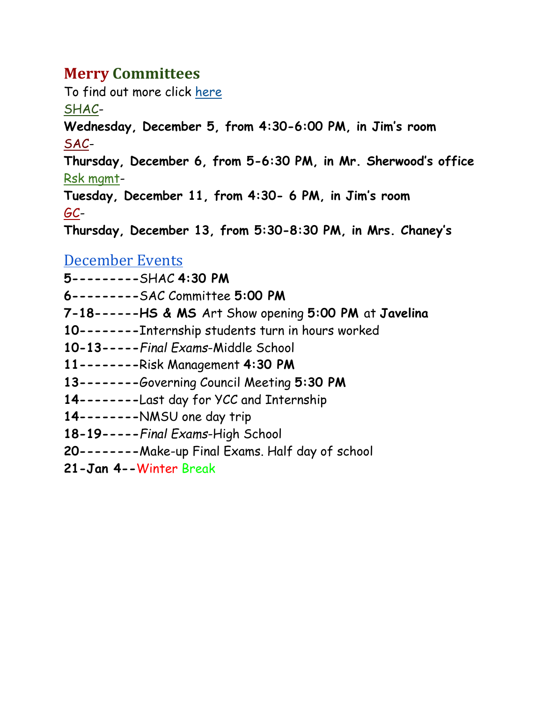### **Merry Committees**

To find out more click [here](https://www.aldocs.org/committee-overview.html)

[SHAC-](https://www.aldocs.org/school-health-advisory-council.html)

**Wednesday, December 5, from 4:30-6:00 PM, in Jim's room**

[SAC-](http://www.aldocs.org/school-advisory-council.html)

**Thursday, December 6, from 5-6:30 PM, in Mr. Sherwood's office** [Rsk mgmt-](https://www.aldocs.org/risk-management.html)

**Tuesday, December 11, from 4:30- 6 PM, in Jim's room** [GC-](https://www.aldocs.org/about-the-alcs-governing-council.html)

**Thursday, December 13, from 5:30-8:30 PM, in Mrs. Chaney's**

#### [December Events](https://www.aldocs.org/calendar.html)

**5---------**SHAC **4:30 PM**

**6---------**SAC Committee **5:00 PM**

**7-18------HS & MS** Art Show opening **5:00 PM** at **Javelina** 

**10--------**Internship students turn in hours worked

**10-13-----***Final Exams*-Middle School

**11--------**Risk Management **4:30 PM**

**13--------**Governing Council Meeting **5:30 PM**

**14--------**Last day for YCC and Internship

**14--------**NMSU one day trip

**18-19-----***Final Exams*-High School

**20--------**Make-up Final Exams. Half day of school

**21-Jan 4--**Winter Break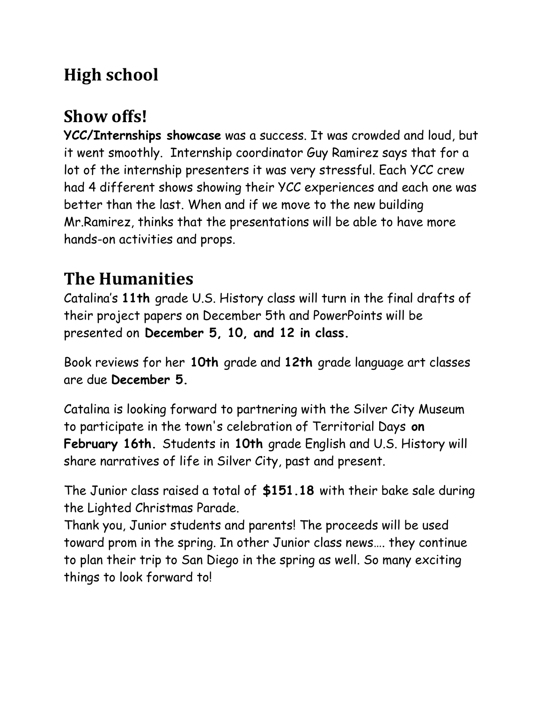# **High school**

# **Show offs!**

**YCC/Internships showcase** was a success. It was crowded and loud, but it went smoothly. Internship coordinator Guy Ramirez says that for a lot of the internship presenters it was very stressful. Each YCC crew had 4 different shows showing their YCC experiences and each one was better than the last. When and if we move to the new building Mr.Ramirez, thinks that the presentations will be able to have more hands-on activities and props.

# **The Humanities**

Catalina's **11th** grade U.S. History class will turn in the final drafts of their project papers on December 5th and PowerPoints will be presented on **December 5, 10, and 12 in class.**

Book reviews for her **10th** grade and **12th** grade language art classes are due **December 5.**

Catalina is looking forward to partnering with the Silver City Museum to participate in the town's celebration of Territorial Days **on February 16th.** Students in **10th** grade English and U.S. History will share narratives of life in Silver City, past and present.

The Junior class raised a total of **\$151.18** with their bake sale during the Lighted Christmas Parade.

Thank you, Junior students and parents! The proceeds will be used toward prom in the spring. In other Junior class news…. they continue to plan their trip to San Diego in the spring as well. So many exciting things to look forward to!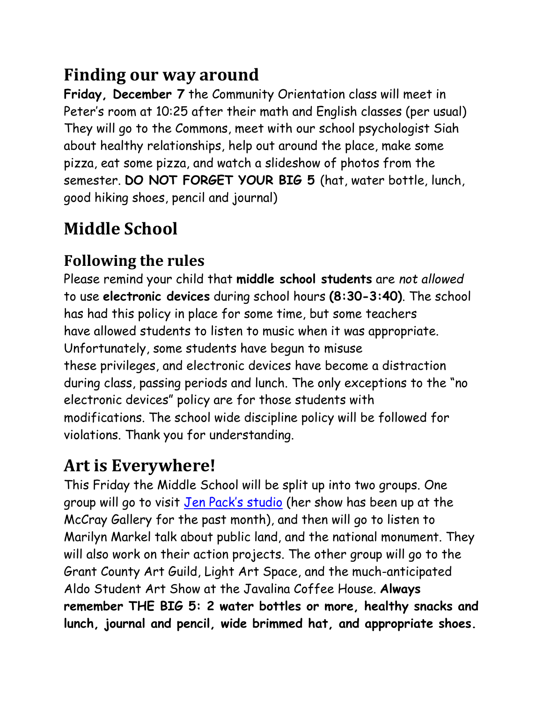# **Finding our way around**

**Friday, December 7** the Community Orientation class will meet in Peter's room at 10:25 after their math and English classes (per usual) They will go to the Commons, meet with our school psychologist Siah about healthy relationships, help out around the place, make some pizza, eat some pizza, and watch a slideshow of photos from the semester. **DO NOT FORGET YOUR BIG 5** (hat, water bottle, lunch, good hiking shoes, pencil and journal)

# **Middle School**

### **Following the rules**

Please remind your child that **middle school students** are *not allowed* to use **electronic devices** during school hours **(8:30-3:40)**. The school has had this policy in place for some time, but some teachers have allowed students to listen to music when it was appropriate. Unfortunately, some students have begun to misuse these privileges, and electronic devices have become a distraction during class, passing periods and lunch. The only exceptions to the "no electronic devices" policy are for those students with modifications. The school wide discipline policy will be followed for violations. Thank you for understanding.

# **Art is Everywhere!**

This Friday the Middle School will be split up into two groups. One group will go to visit [Jen Pack's studio](https://www.jenpack.com/) (her show has been up at the McCray Gallery for the past month), and then will go to listen to Marilyn Markel talk about public land, and the national monument. They will also work on their action projects. The other group will go to the Grant County Art Guild, Light Art Space, and the much-anticipated Aldo Student Art Show at the Javalina Coffee House. **Always remember THE BIG 5: 2 water bottles or more, healthy snacks and lunch, journal and pencil, wide brimmed hat, and appropriate shoes.**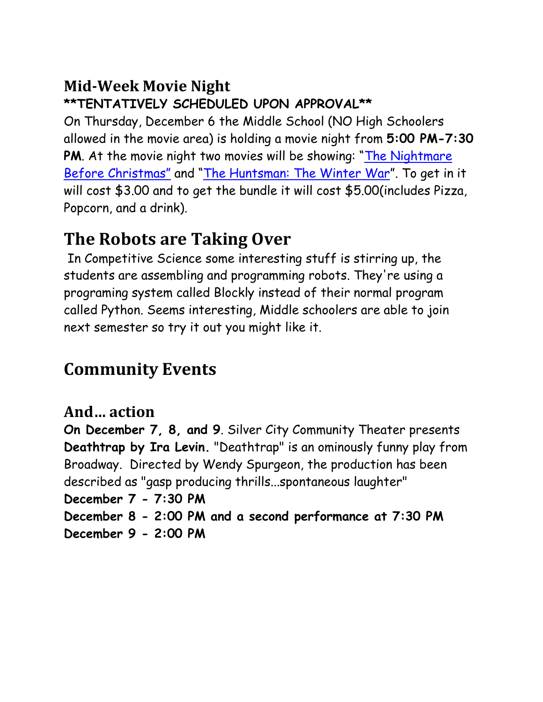### **Mid-Week Movie Night**

### **\*\*TENTATIVELY SCHEDULED UPON APPROVAL\*\***

On Thursday, December 6 the Middle School (NO High Schoolers allowed in the movie area) is holding a movie night from **5:00 PM-7:30**  PM. At the movie night two movies will be showing: "The Nightmare [Before Christmas"](https://www.youtube.com/watch?v=wr6N_hZyBCk) and "[The Huntsman: The Winter War](https://www.youtube.com/watch?v=_W65ndip7MM)". To get in it will cost \$3.00 and to get the bundle it will cost \$5.00(includes Pizza, Popcorn, and a drink).

# **The Robots are Taking Over**

In Competitive Science some interesting stuff is stirring up, the students are assembling and programming robots. They're using a programing system called Blockly instead of their normal program called Python. Seems interesting, Middle schoolers are able to join next semester so try it out you might like it.

# **Community Events**

### **And… action**

**On December 7, 8, and 9**. Silver City Community Theater presents **Deathtrap by Ira Levin.** "Deathtrap" is an ominously funny play from Broadway. Directed by Wendy Spurgeon, the production has been described as "gasp producing thrills...spontaneous laughter" **December 7 - 7:30 PM December 8 - 2:00 PM and a second performance at 7:30 PM December 9 - 2:00 PM**